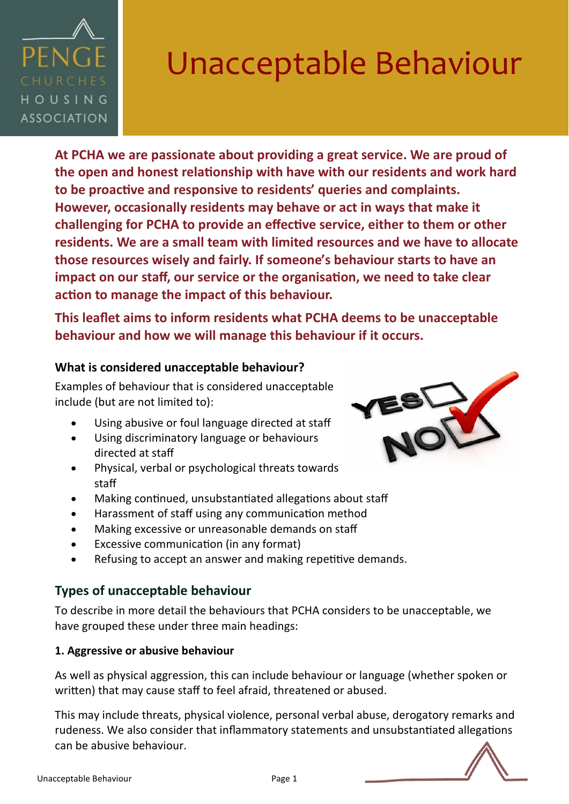

**At PCHA we are passionate about providing a great service. We are proud of the open and honest relationship with have with our residents and work hard to be proactive and responsive to residents' queries and complaints. However, occasionally residents may behave or act in ways that make it challenging for PCHA to provide an effective service, either to them or other residents. We are a small team with limited resources and we have to allocate those resources wisely and fairly. If someone's behaviour starts to have an impact on our staff, our service or the organisation, we need to take clear action to manage the impact of this behaviour.** 

**This leaflet aims to inform residents what PCHA deems to be unacceptable behaviour and how we will manage this behaviour if it occurs.** 

### **What is considered unacceptable behaviour?**

Examples of behaviour that is considered unacceptable include (but are not limited to):

- Using abusive or foul language directed at staff
- Using discriminatory language or behaviours directed at staff
- Physical, verbal or psychological threats towards staff
- Making continued, unsubstantiated allegations about staff
- Harassment of staff using any communication method
- Making excessive or unreasonable demands on staff
- Excessive communication (in any format)
- Refusing to accept an answer and making repetitive demands.

### **Types of unacceptable behaviour**

To describe in more detail the behaviours that PCHA considers to be unacceptable, we have grouped these under three main headings:

### **1. Aggressive or abusive behaviour**

As well as physical aggression, this can include behaviour or language (whether spoken or written) that may cause staff to feel afraid, threatened or abused.

This may include threats, physical violence, personal verbal abuse, derogatory remarks and rudeness. We also consider that inflammatory statements and unsubstantiated allegations can be abusive behaviour.



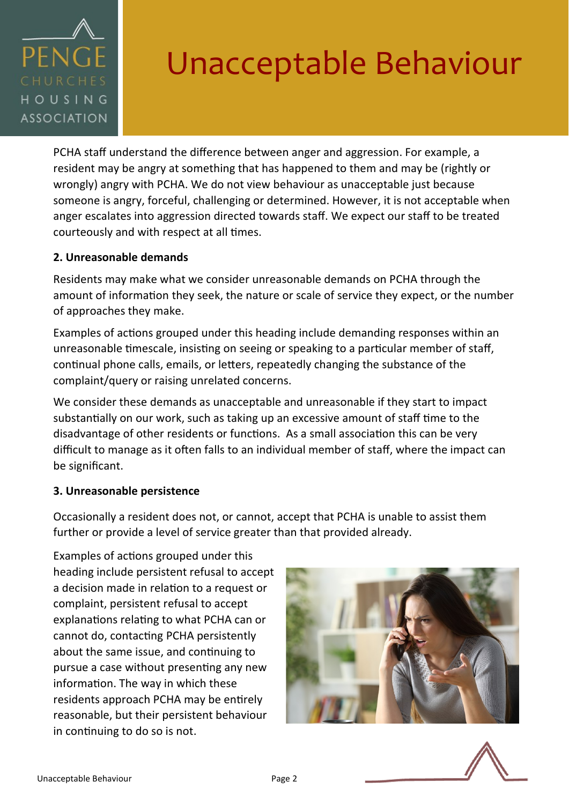

PCHA staff understand the difference between anger and aggression. For example, a resident may be angry at something that has happened to them and may be (rightly or wrongly) angry with PCHA. We do not view behaviour as unacceptable just because someone is angry, forceful, challenging or determined. However, it is not acceptable when anger escalates into aggression directed towards staff. We expect our staff to be treated courteously and with respect at all times.

### **2. Unreasonable demands**

Residents may make what we consider unreasonable demands on PCHA through the amount of information they seek, the nature or scale of service they expect, or the number of approaches they make.

Examples of actions grouped under this heading include demanding responses within an unreasonable timescale, insisting on seeing or speaking to a particular member of staff, continual phone calls, emails, or letters, repeatedly changing the substance of the complaint/query or raising unrelated concerns.

We consider these demands as unacceptable and unreasonable if they start to impact substantially on our work, such as taking up an excessive amount of staff time to the disadvantage of other residents or functions. As a small association this can be very difficult to manage as it often falls to an individual member of staff, where the impact can be significant.

### **3. Unreasonable persistence**

Occasionally a resident does not, or cannot, accept that PCHA is unable to assist them further or provide a level of service greater than that provided already.

Examples of actions grouped under this heading include persistent refusal to accept a decision made in relation to a request or complaint, persistent refusal to accept explanations relating to what PCHA can or cannot do, contacting PCHA persistently about the same issue, and continuing to pursue a case without presenting any new information. The way in which these residents approach PCHA may be entirely reasonable, but their persistent behaviour in continuing to do so is not.



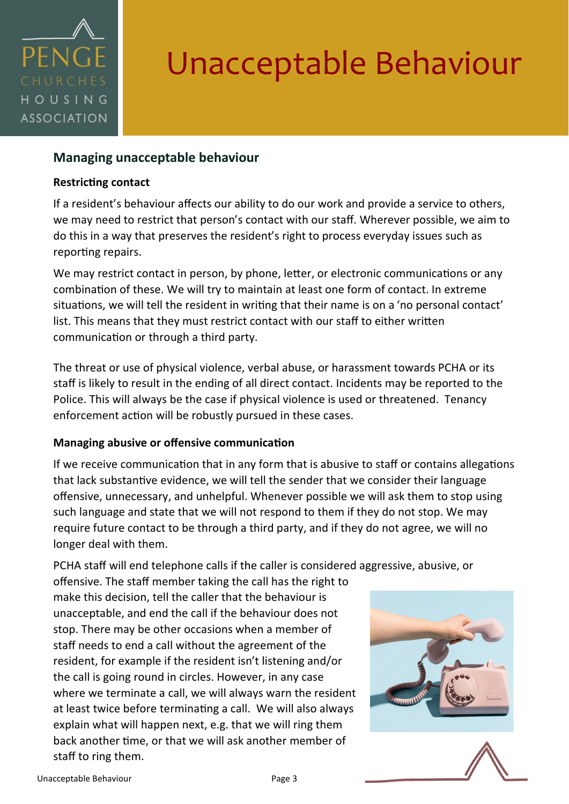

### **Managing unacceptable behaviour**

#### **Restricting contact**

If a resident's behaviour affects our ability to do our work and provide a service to others, we may need to restrict that person's contact with our staff. Wherever possible, we aim to do this in a way that preserves the resident's right to process everyday issues such as reporting repairs.

We may restrict contact in person, by phone, letter, or electronic communications or any combination of these. We will try to maintain at least one form of contact. In extreme situations, we will tell the resident in writing that their name is on a 'no personal contact' list. This means that they must restrict contact with our staff to either written communication or through a third party.

The threat or use of physical violence, verbal abuse, or harassment towards PCHA or its staff is likely to result in the ending of all direct contact. Incidents may be reported to the Police. This will always be the case if physical violence is used or threatened. Tenancy enforcement action will be robustly pursued in these cases.

#### **Managing abusive or offensive communication**

If we receive communication that in any form that is abusive to staff or contains allegations that lack substantive evidence, we will tell the sender that we consider their language offensive, unnecessary, and unhelpful. Whenever possible we will ask them to stop using such language and state that we will not respond to them if they do not stop. We may require future contact to be through a third party, and if they do not agree, we will no longer deal with them.

PCHA staff will end telephone calls if the caller is considered aggressive, abusive, or offensive. The staff member taking the call has the right to

make this decision, tell the caller that the behaviour is unacceptable, and end the call if the behaviour does not stop. There may be other occasions when a member of staff needs to end a call without the agreement of the resident, for example if the resident isn't listening and/or the call is going round in circles. However, in any case where we terminate a call, we will always warn the resident at least twice before terminating a call. We will also always explain what will happen next, e.g. that we will ring them back another time, or that we will ask another member of staff to ring them.



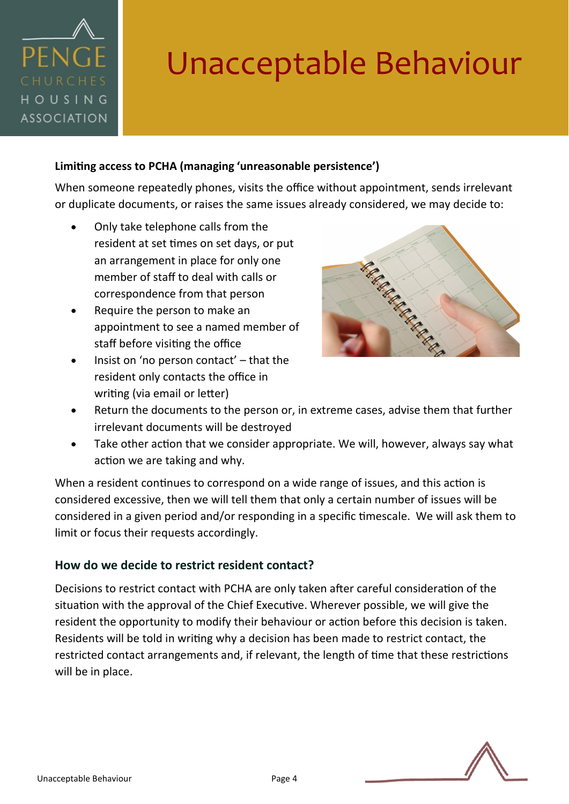# PFNG HOUSING **ASSOCIATION**

# Unacceptable Behaviour

### **Limiting access to PCHA (managing 'unreasonable persistence')**

When someone repeatedly phones, visits the office without appointment, sends irrelevant or duplicate documents, or raises the same issues already considered, we may decide to:

- Only take telephone calls from the resident at set times on set days, or put an arrangement in place for only one member of staff to deal with calls or correspondence from that person
- Require the person to make an appointment to see a named member of staff before visiting the office
- Insist on 'no person contact' that the resident only contacts the office in writing (via email or letter)



- Return the documents to the person or, in extreme cases, advise them that further irrelevant documents will be destroyed
- Take other action that we consider appropriate. We will, however, always say what action we are taking and why.

When a resident continues to correspond on a wide range of issues, and this action is considered excessive, then we will tell them that only a certain number of issues will be considered in a given period and/or responding in a specific timescale. We will ask them to limit or focus their requests accordingly.

### **How do we decide to restrict resident contact?**

Decisions to restrict contact with PCHA are only taken after careful consideration of the situation with the approval of the Chief Executive. Wherever possible, we will give the resident the opportunity to modify their behaviour or action before this decision is taken. Residents will be told in writing why a decision has been made to restrict contact, the restricted contact arrangements and, if relevant, the length of time that these restrictions will be in place.

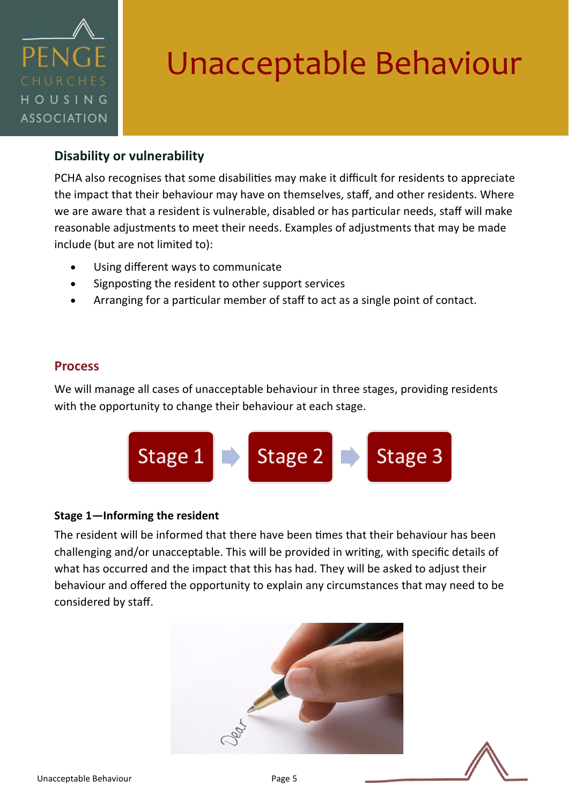

### **Disability or vulnerability**

PCHA also recognises that some disabilities may make it difficult for residents to appreciate the impact that their behaviour may have on themselves, staff, and other residents. Where we are aware that a resident is vulnerable, disabled or has particular needs, staff will make reasonable adjustments to meet their needs. Examples of adjustments that may be made include (but are not limited to):

- Using different ways to communicate
- Signposting the resident to other support services
- Arranging for a particular member of staff to act as a single point of contact.

### **Process**

We will manage all cases of unacceptable behaviour in three stages, providing residents with the opportunity to change their behaviour at each stage.



#### **Stage 1—Informing the resident**

The resident will be informed that there have been times that their behaviour has been challenging and/or unacceptable. This will be provided in writing, with specific details of what has occurred and the impact that this has had. They will be asked to adjust their behaviour and offered the opportunity to explain any circumstances that may need to be considered by staff.